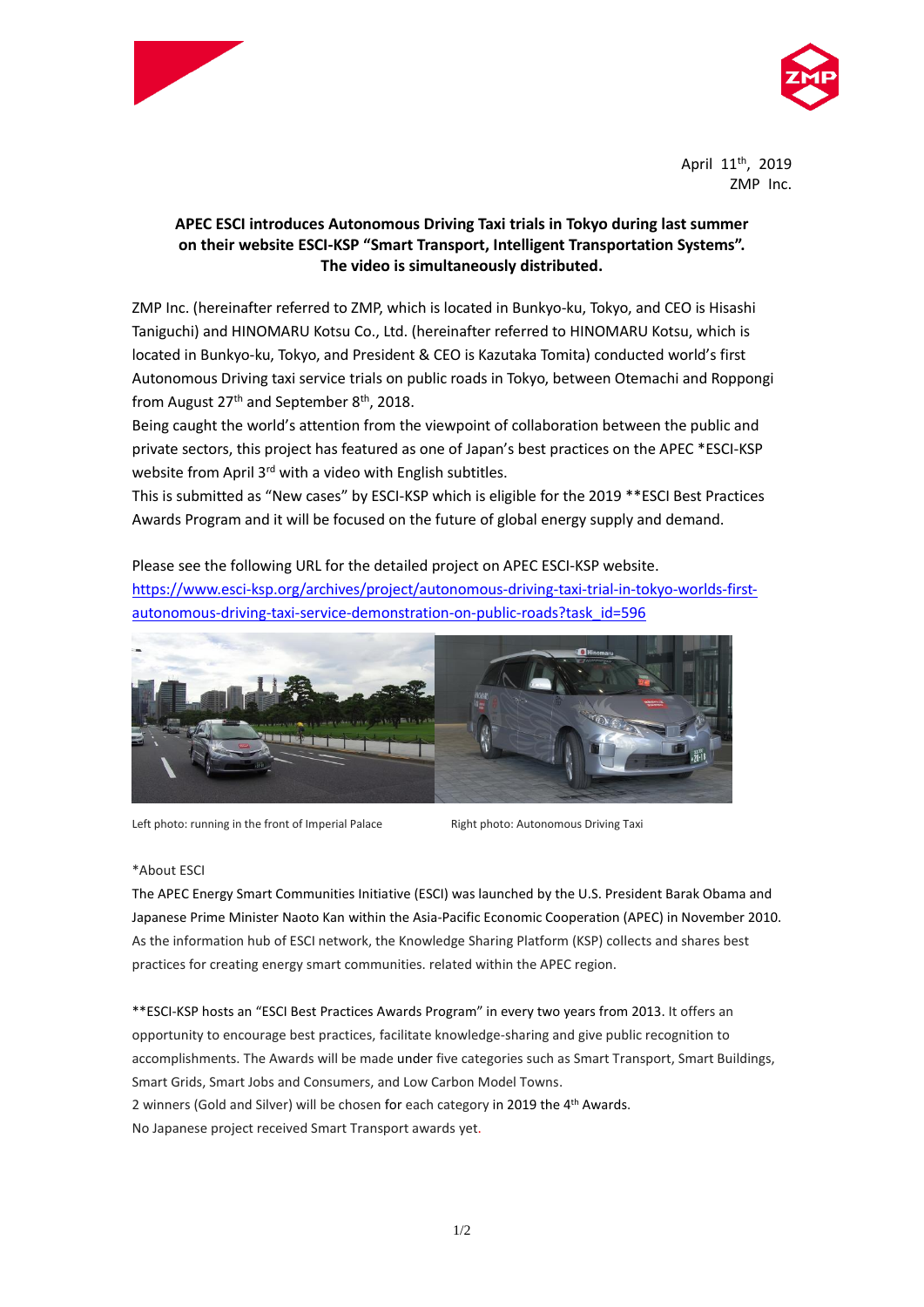



April 11<sup>th</sup>, 2019 ZMP Inc.

## **APEC ESCI introduces Autonomous Driving Taxi trials in Tokyo during last summer on their website ESCI-KSP "Smart Transport, Intelligent Transportation Systems". The video is simultaneously distributed.**

ZMP Inc. (hereinafter referred to ZMP, which is located in Bunkyo-ku, Tokyo, and CEO is Hisashi Taniguchi) and HINOMARU Kotsu Co., Ltd. (hereinafter referred to HINOMARU Kotsu, which is located in Bunkyo-ku, Tokyo, and President & CEO is Kazutaka Tomita) conducted world's first Autonomous Driving taxi service trials on public roads in Tokyo, between Otemachi and Roppongi from August  $27<sup>th</sup>$  and September 8<sup>th</sup>, 2018.

Being caught the world's attention from the viewpoint of collaboration between the public and private sectors, this project has featured as one of Japan's best practices on the APEC \*ESCI-KSP website from April 3<sup>rd</sup> with a video with English subtitles.

This is submitted as "New cases" by ESCI-KSP which is eligible for the 2019 \*\*ESCI Best Practices Awards Program and it will be focused on the future of global energy supply and demand.

Please see the following URL for the detailed project on APEC ESCI-KSP website. [https://www.esci-ksp.org/archives/project/autonomous-driving-taxi-trial-in-tokyo-worlds-first](https://www.esci-ksp.org/archives/project/autonomous-driving-taxi-trial-in-tokyo-worlds-first-autonomous-driving-taxi-service-demonstration-on-public-roads?task_id=596)[autonomous-driving-taxi-service-demonstration-on-public-roads?task\\_id=596](https://www.esci-ksp.org/archives/project/autonomous-driving-taxi-trial-in-tokyo-worlds-first-autonomous-driving-taxi-service-demonstration-on-public-roads?task_id=596)



Left photo: running in the front of Imperial Palace Right photo: Autonomous Driving Taxi

## \*About ESCI

The APEC Energy Smart Communities Initiative (ESCI) was launched by the U.S. President Barak Obama and Japanese Prime Minister Naoto Kan within the Asia-Pacific Economic Cooperation (APEC) in November 2010. As the information hub of ESCI network, the Knowledge Sharing Platform (KSP) collects and shares best practices for creating energy smart communities. related within the APEC region.

\*\*ESCI-KSP hosts an "ESCI Best Practices Awards Program" in every two years from 2013. It offers an opportunity to encourage best practices, facilitate knowledge-sharing and give public recognition to accomplishments. The Awards will be made under five categories such as Smart Transport, Smart Buildings, Smart Grids, Smart Jobs and Consumers, and Low Carbon Model Towns. 2 winners (Gold and Silver) will be chosen for each category in 2019 the 4<sup>th</sup> Awards. No Japanese project received Smart Transport awards yet.